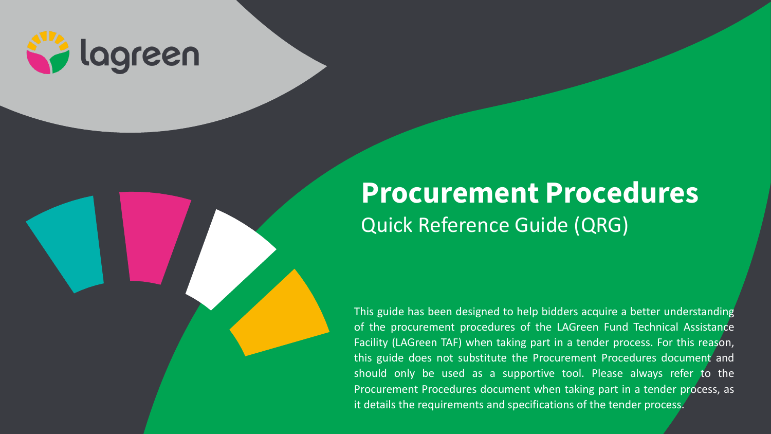

# **Procurement Procedures** Quick Reference Guide (QRG)

This guide has been designed to help bidders acquire a better understanding of the procurement procedures of the LAGreen Fund Technical Assistance Facility (LAGreen TAF) when taking part in a tender process. For this reason, this guide does not substitute the Procurement Procedures document and should only be used as a supportive tool. Please always refer to the Procurement Procedures document when taking part in a tender process, as it details the requirements and specifications of the tender process.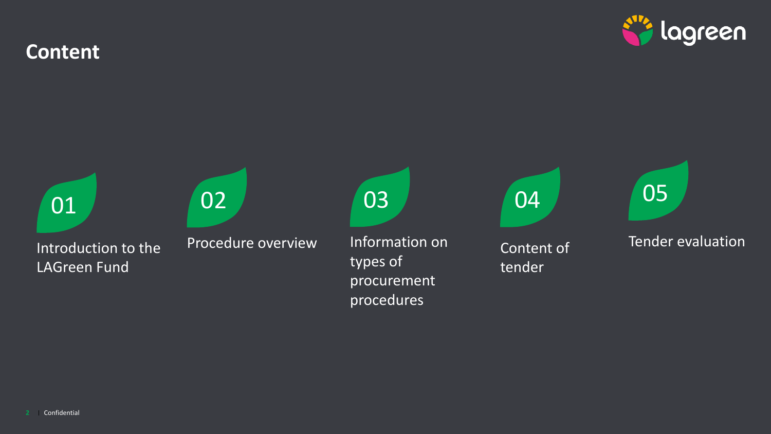**Content**



procedures



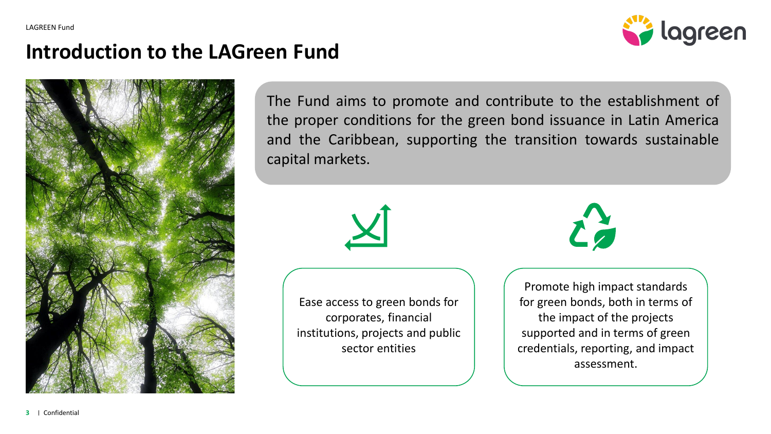

#### **Introduction to the LAGreen Fund**



The Fund aims to promote and contribute to the establishment of the proper conditions for the green bond issuance in Latin America and the Caribbean, supporting the transition towards sustainable capital markets.



Ease access to green bonds for corporates, financial institutions, projects and public sector entities



Promote high impact standards for green bonds, both in terms of the impact of the projects supported and in terms of green credentials, reporting, and impact assessment.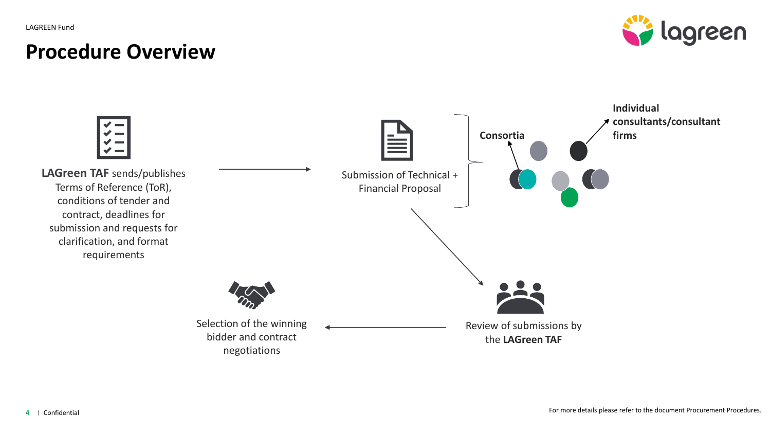### **Procedure Overview**



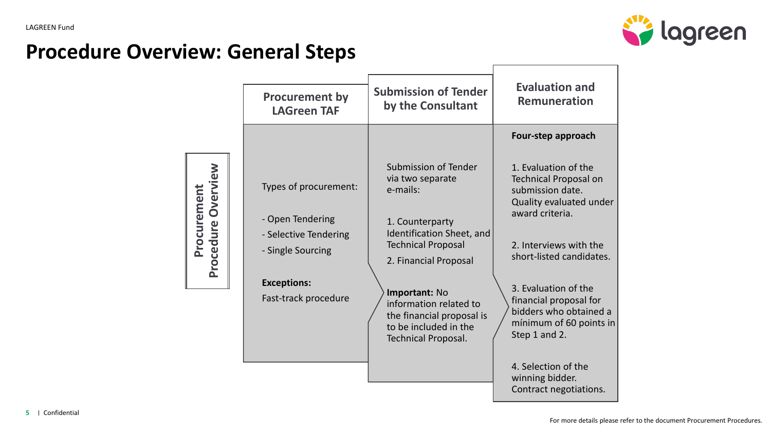

## **Procedure Overview: General Steps**

|                                          | <b>Procurement by</b><br><b>LAGreen TAF</b>                                                                                           | <b>Submission of Tender</b><br>by the Consultant                                                                                                                                                                                                                                                 | <b>Evaluation and</b><br><b>Remuneration</b>                                                                                                                                                                                                                                                         |
|------------------------------------------|---------------------------------------------------------------------------------------------------------------------------------------|--------------------------------------------------------------------------------------------------------------------------------------------------------------------------------------------------------------------------------------------------------------------------------------------------|------------------------------------------------------------------------------------------------------------------------------------------------------------------------------------------------------------------------------------------------------------------------------------------------------|
|                                          |                                                                                                                                       |                                                                                                                                                                                                                                                                                                  | Four-step approach                                                                                                                                                                                                                                                                                   |
| <b>Procurement</b><br>Procedure Overview | Types of procurement:<br>- Open Tendering<br>- Selective Tendering<br>- Single Sourcing<br><b>Exceptions:</b><br>Fast-track procedure | <b>Submission of Tender</b><br>via two separate<br>e-mails:<br>1. Counterparty<br>Identification Sheet, and<br><b>Technical Proposal</b><br>2. Financial Proposal<br>Important: No<br>information related to<br>the financial proposal is<br>to be included in the<br><b>Technical Proposal.</b> | 1. Evaluation of the<br><b>Technical Proposal on</b><br>submission date.<br>Quality evaluated under<br>award criteria.<br>2. Interviews with the<br>short-listed candidates.<br>3. Evaluation of the<br>financial proposal for<br>bidders who obtained a<br>mínimum of 60 points in<br>Step 1 and 2. |
|                                          |                                                                                                                                       |                                                                                                                                                                                                                                                                                                  | 4. Selection of the<br>winning bidder.<br>Contract negotiations.                                                                                                                                                                                                                                     |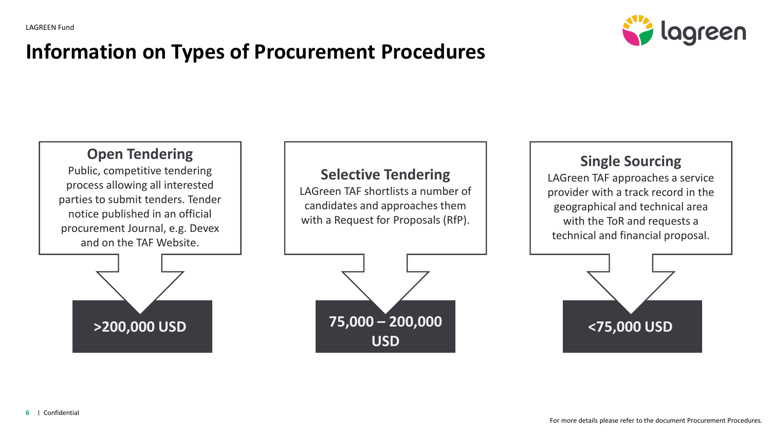

## **Information on Types of Procurement Procedures**

#### **Open Tendering**

Public, competitive tendering process allowing all interested parties to submit tenders. Tender notice published in an official procurement Journal, e.g. Devex and on the TAF Website.

#### **Selective Tendering**

LAGreen TAF shortlists a number of candidates and approaches them with a Request for Proposals (RfP).

#### **Single Sourcing**

LAGreen TAF approaches a service provider with a track record in the geographical and technical area with the ToR and requests a technical and financial proposal.





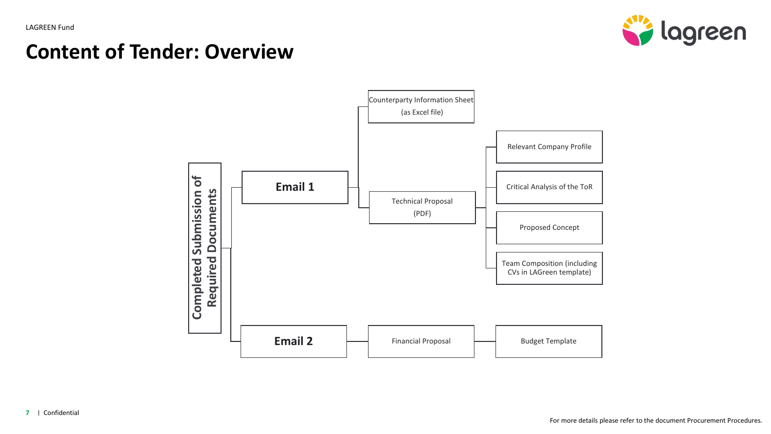

### **Content of Tender: Overview**

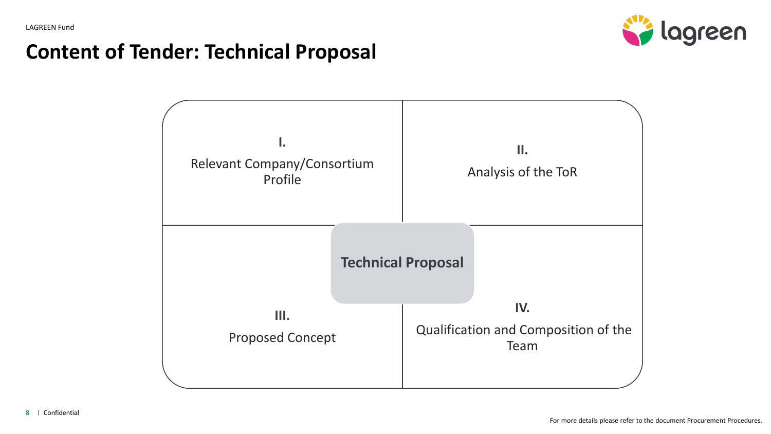

## **Content of Tender: Technical Proposal**

| Ι.<br>Relevant Company/Consortium<br>Profile | ΙΙ.<br>Analysis of the ToR                          |  |
|----------------------------------------------|-----------------------------------------------------|--|
| <b>Technical Proposal</b>                    |                                                     |  |
| Ш.<br><b>Proposed Concept</b>                | IV.<br>Qualification and Composition of the<br>Team |  |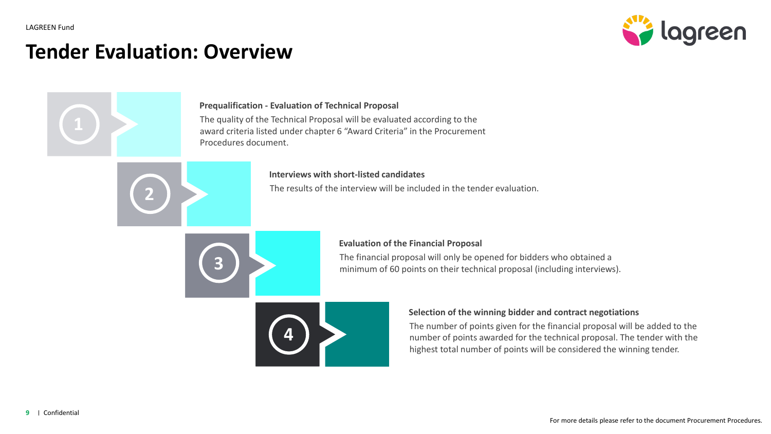

#### **Tender Evaluation: Overview**

**2**

#### **Prequalification - Evaluation of Technical Proposal**

The quality of the Technical Proposal will be evaluated according to the award criteria listed under chapter 6 "Award Criteria" in the Procurement Procedures document.

#### **Interviews with short-listed candidates**

The results of the interview will be included in the tender evaluation.



#### **Evaluation of the Financial Proposal**

The financial proposal will only be opened for bidders who obtained a minimum of 60 points on their technical proposal (including interviews).



#### **Selection of the winning bidder and contract negotiations**

The number of points given for the financial proposal will be added to the number of points awarded for the technical proposal. The tender with the highest total number of points will be considered the winning tender.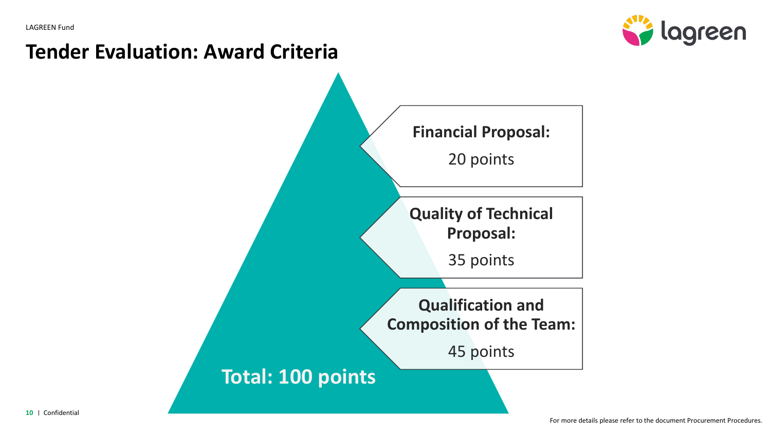

### **Tender Evaluation: Award Criteria**